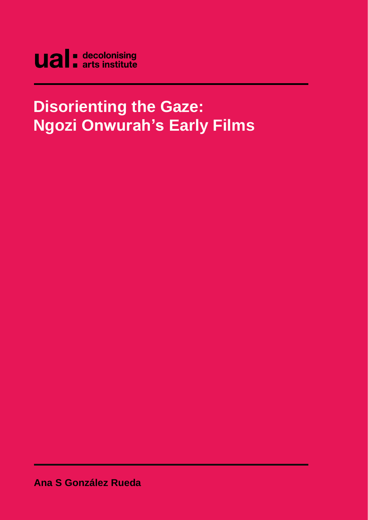

# **Disorienting the Gaze: Ngozi Onwurah's Early Films**

**Ana S González Rueda**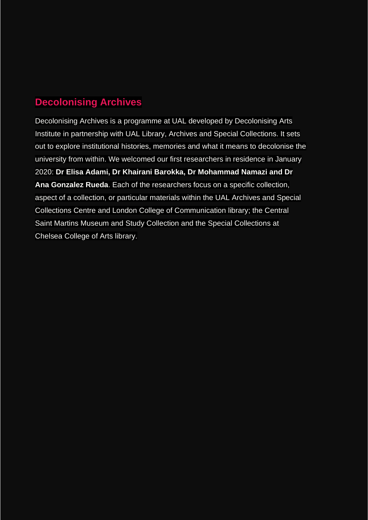## **Decolonising Archives**

Decolonising Archives is a programme at UAL developed by Decolonising Arts Institute in partnership with UAL Library, Archives and Special Collections. It sets out to explore institutional histories, memories and what it means to decolonise the university from within. We welcomed our first researchers in residence in January 2020: **Dr Elisa Adami, Dr Khairani Barokka, Dr Mohammad Namazi and Dr Ana Gonzalez Rueda**. Each of the researchers focus on a specific collection, aspect of a collection, or particular materials within the UAL Archives and Special Collections Centre and London College of Communication library; the Central Saint Martins Museum and Study Collection and the Special Collections at Chelsea College of Arts library.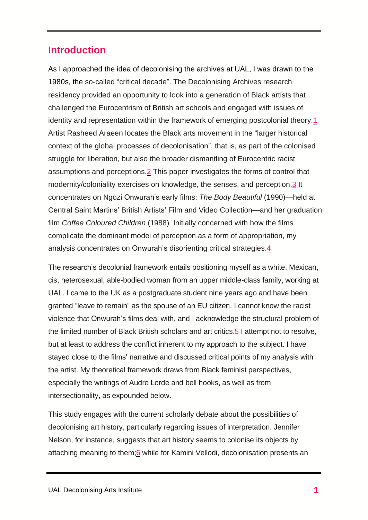#### **Introduction**

As I approached the idea of decolonising the archives at UAL, I was drawn to the 1980s, the so-called "critical decade". The Decolonising Archives research residency provided an opportunity to look into a generation of Black artists that challenged the Eurocentrism of British art schools and engaged with issues of identity and representation within the framework of emerging postcolonial theory[.1](#page-16-0) Artist Rasheed Araeen locates the Black arts movement in the "larger historical context of the global processes of decolonisation", that is, as part of the colonised struggle for liberation, but also the broader dismantling of Eurocentric racist assumptions and perceptions[.2](#page-16-1) This paper investigates the forms of control that modernity/coloniality exercises on knowledge, the senses, and perception[.3](#page-16-2) It concentrates on Ngozi Onwurah's early films: *The Body Beautiful* (1990)—held at Central Saint Martins' British Artists' Film and Video Collection—and her graduation film *Coffee Coloured Children* (1988)*.* Initially concerned with how the films complicate the dominant model of perception as a form of appropriation, my analysis concentrates on Onwurah's disorienting critical strategies[.4](#page-16-3)

The research's decolonial framework entails positioning myself as a white, Mexican, cis, heterosexual, able-bodied woman from an upper middle-class family, working at UAL. I came to the UK as a postgraduate student nine years ago and have been granted "leave to remain" as the spouse of an EU citizen. I cannot know the racist violence that Onwurah's films deal with, and I acknowledge the structural problem of the limited number of Black British scholars and art critics[.5](#page-16-4) I attempt not to resolve, but at least to address the conflict inherent to my approach to the subject. I have stayed close to the films' narrative and discussed critical points of my analysis with the artist. My theoretical framework draws from Black feminist perspectives, especially the writings of Audre Lorde and bell hooks, as well as from intersectionality, as expounded below.

This study engages with the current scholarly debate about the possibilities of decolonising art history, particularly regarding issues of interpretation. Jennifer Nelson, for instance, suggests that art history seems to colonise its objects by attaching meaning to them; 6 while for Kamini Vellodi, decolonisation presents an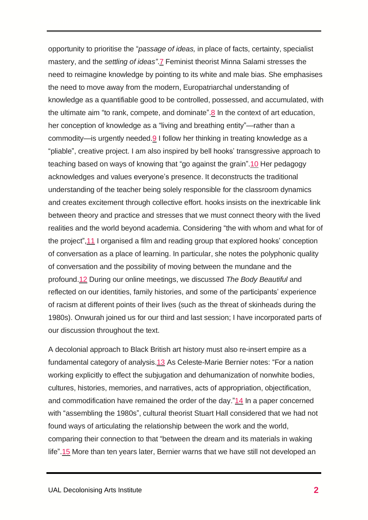opportunity to prioritise the "*passage of ideas,* in place of facts, certainty, specialist mastery, and the *settling of ideas"*[.7](#page-16-6) Feminist theorist Minna Salami stresses the need to reimagine knowledge by pointing to its white and male bias. She emphasises the need to move away from the modern, Europatriarchal understanding of knowledge as a quantifiable good to be controlled, possessed, and accumulated, with the ultimate aim "to rank, compete, and dominate"[.8](#page-16-7) In the context of art education, her conception of knowledge as a "living and breathing entity"—rather than a commodity—is urgently needed[.9](#page-16-8) I follow her thinking in treating knowledge as a "pliable", creative project. I am also inspired by bell hooks' transgressive approach to teaching based on ways of knowing that "go against the grain"[.10](#page-16-9) Her pedagogy acknowledges and values everyone's presence. It deconstructs the traditional understanding of the teacher being solely responsible for the classroom dynamics and creates excitement through collective effort. hooks insists on the inextricable link between theory and practice and stresses that we must connect theory with the lived realities and the world beyond academia. Considering "the with whom and what for of the project"[,11](#page-17-0) I organised a film and reading group that explored hooks' conception of conversation as a place of learning. In particular, she notes the polyphonic quality of conversation and the possibility of moving between the mundane and the profound[.12](#page-17-1) During our online meetings, we discussed *The Body Beautiful* and reflected on our identities, family histories, and some of the participants' experience of racism at different points of their lives (such as the threat of skinheads during the 1980s). Onwurah joined us for our third and last session; I have incorporated parts of our discussion throughout the text.

A decolonial approach to Black British art history must also re-insert empire as a fundamental category of analysis[.13](#page-17-2) As Celeste-Marie Bernier notes: "For a nation working explicitly to effect the subjugation and dehumanization of nonwhite bodies, cultures, histories, memories, and narratives, acts of appropriation, objectification, and commodification have remained the order of the day.["14](#page-17-3) In a paper concerned with "assembling the 1980s", cultural theorist Stuart Hall considered that we had not found ways of articulating the relationship between the work and the world, comparing their connection to that "between the dream and its materials in waking life"[.15](#page-17-4) More than ten years later, Bernier warns that we have still not developed an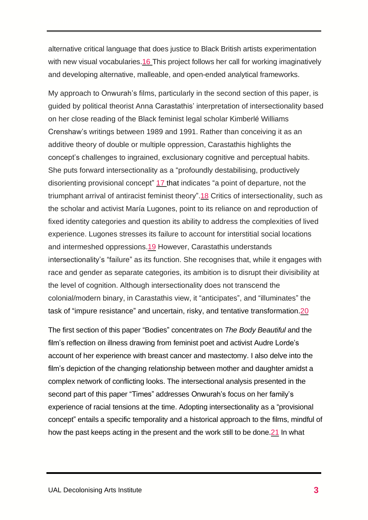alternative critical language that does justice to Black British artists experimentation with new visual vocabularies[.16](#page-17-5) This project follows her call for working imaginatively and developing alternative, malleable, and open-ended analytical frameworks.

My approach to Onwurah's films, particularly in the second section of this paper, is guided by political theorist Anna Carastathis' interpretation of intersectionality based on her close reading of the Black feminist legal scholar Kimberlé Williams Crenshaw's writings between 1989 and 1991. Rather than conceiving it as an additive theory of double or multiple oppression, Carastathis highlights the concept's challenges to ingrained, exclusionary cognitive and perceptual habits. She puts forward intersectionality as a "profoundly destabilising, productively disorienting provisional concept" [17](#page-17-6) that indicates "a point of departure, not the triumphant arrival of antiracist feminist theory"[.18](#page-17-7) Critics of intersectionality, such as the scholar and activist María Lugones, point to its reliance on and reproduction of fixed identity categories and question its ability to address the complexities of lived experience. Lugones stresses its failure to account for interstitial social locations and intermeshed oppressions[.19](#page-17-8) However, Carastathis understands intersectionality's "failure" as its function. She recognises that, while it engages with race and gender as separate categories, its ambition is to disrupt their divisibility at the level of cognition. Although intersectionality does not transcend the colonial/modern binary, in Carastathis view, it "anticipates", and "illuminates" the task of "impure resistance" and uncertain, risky, and tentative transformation[.20](#page-17-9)

The first section of this paper "Bodies" concentrates on *The Body Beautiful* and the film's reflection on illness drawing from feminist poet and activist Audre Lorde's account of her experience with breast cancer and mastectomy. I also delve into the film's depiction of the changing relationship between mother and daughter amidst a complex network of conflicting looks. The intersectional analysis presented in the second part of this paper "Times" addresses Onwurah's focus on her family's experience of racial tensions at the time. Adopting intersectionality as a "provisional concept" entails a specific temporality and a historical approach to the films, mindful of how the past keeps acting in the present and the work still to be done[.21](#page-17-10) In what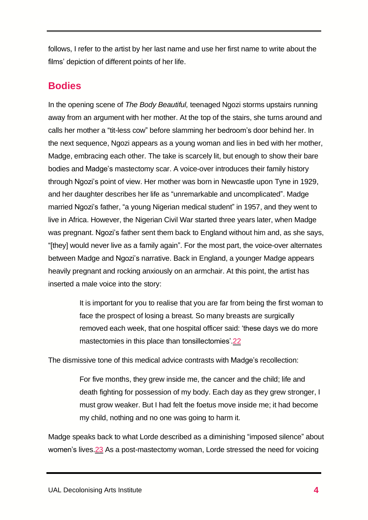follows, I refer to the artist by her last name and use her first name to write about the films' depiction of different points of her life.

#### **Bodies**

In the opening scene of *The Body Beautiful,* teenaged Ngozi storms upstairs running away from an argument with her mother. At the top of the stairs, she turns around and calls her mother a "tit-less cow" before slamming her bedroom's door behind her. In the next sequence, Ngozi appears as a young woman and lies in bed with her mother, Madge, embracing each other. The take is scarcely lit, but enough to show their bare bodies and Madge's mastectomy scar. A voice-over introduces their family history through Ngozi's point of view. Her mother was born in Newcastle upon Tyne in 1929, and her daughter describes her life as "unremarkable and uncomplicated". Madge married Ngozi's father, "a young Nigerian medical student" in 1957, and they went to live in Africa. However, the Nigerian Civil War started three years later, when Madge was pregnant. Ngozi's father sent them back to England without him and, as she says, "[they] would never live as a family again". For the most part, the voice-over alternates between Madge and Ngozi's narrative. Back in England, a younger Madge appears heavily pregnant and rocking anxiously on an armchair. At this point, the artist has inserted a male voice into the story:

> It is important for you to realise that you are far from being the first woman to face the prospect of losing a breast. So many breasts are surgically removed each week, that one hospital officer said: 'these days we do more mastectomies in this place than tonsillectomies'[.22](#page-17-11)

The dismissive tone of this medical advice contrasts with Madge's recollection:

For five months, they grew inside me, the cancer and the child; life and death fighting for possession of my body. Each day as they grew stronger, I must grow weaker. But I had felt the foetus move inside me; it had become my child, nothing and no one was going to harm it.

Madge speaks back to what Lorde described as a diminishing "imposed silence" about women's lives.<sup>23</sup> As a post-mastectomy woman, Lorde stressed the need for voicing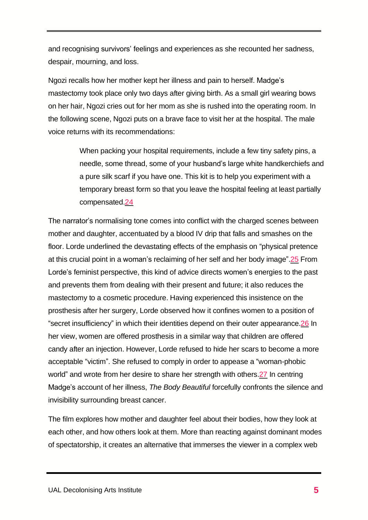and recognising survivors' feelings and experiences as she recounted her sadness, despair, mourning, and loss.

Ngozi recalls how her mother kept her illness and pain to herself. Madge's mastectomy took place only two days after giving birth. As a small girl wearing bows on her hair, Ngozi cries out for her mom as she is rushed into the operating room. In the following scene, Ngozi puts on a brave face to visit her at the hospital. The male voice returns with its recommendations:

> When packing your hospital requirements, include a few tiny safety pins, a needle, some thread, some of your husband's large white handkerchiefs and a pure silk scarf if you have one. This kit is to help you experiment with a temporary breast form so that you leave the hospital feeling at least partially compensated[.24](#page-18-1)

The narrator's normalising tone comes into conflict with the charged scenes between mother and daughter, accentuated by a blood IV drip that falls and smashes on the floor. Lorde underlined the devastating effects of the emphasis on "physical pretence at this crucial point in a woman's reclaiming of her self and her body image"[.25](#page-18-2) From Lorde's feminist perspective, this kind of advice directs women's energies to the past and prevents them from dealing with their present and future; it also reduces the mastectomy to a cosmetic procedure. Having experienced this insistence on the prosthesis after her surgery, Lorde observed how it confines women to a position of "secret insufficiency" in which their identities depend on their outer appearance[.26](#page-18-3) In her view, women are offered prosthesis in a similar way that children are offered candy after an injection. However, Lorde refused to hide her scars to become a more acceptable "victim". She refused to comply in order to appease a "woman-phobic world" and wrote from her desire to share her strength with others[.27](#page-18-4) In centring Madge's account of her illness, *The Body Beautiful* forcefully confronts the silence and invisibility surrounding breast cancer.

The film explores how mother and daughter feel about their bodies, how they look at each other, and how others look at them. More than reacting against dominant modes of spectatorship, it creates an alternative that immerses the viewer in a complex web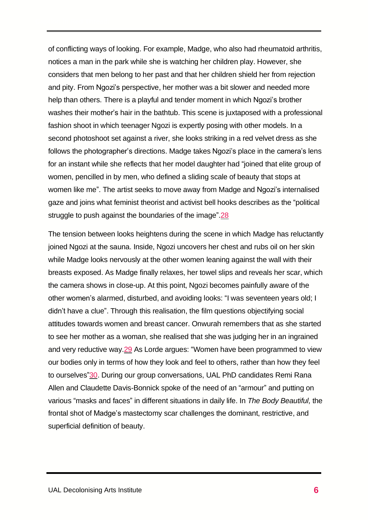of conflicting ways of looking. For example, Madge, who also had rheumatoid arthritis, notices a man in the park while she is watching her children play. However, she considers that men belong to her past and that her children shield her from rejection and pity. From Ngozi's perspective, her mother was a bit slower and needed more help than others. There is a playful and tender moment in which Ngozi's brother washes their mother's hair in the bathtub. This scene is juxtaposed with a professional fashion shoot in which teenager Ngozi is expertly posing with other models. In a second photoshoot set against a river, she looks striking in a red velvet dress as she follows the photographer's directions. Madge takes Ngozi's place in the camera's lens for an instant while she reflects that her model daughter had "joined that elite group of women, pencilled in by men, who defined a sliding scale of beauty that stops at women like me". The artist seeks to move away from Madge and Ngozi's internalised gaze and joins what feminist theorist and activist bell hooks describes as the "political struggle to push against the boundaries of the image"[.28](#page-18-5)

The tension between looks heightens during the scene in which Madge has reluctantly joined Ngozi at the sauna. Inside, Ngozi uncovers her chest and rubs oil on her skin while Madge looks nervously at the other women leaning against the wall with their breasts exposed. As Madge finally relaxes, her towel slips and reveals her scar, which the camera shows in close-up. At this point, Ngozi becomes painfully aware of the other women's alarmed, disturbed, and avoiding looks: "I was seventeen years old; I didn't have a clue". Through this realisation, the film questions objectifying social attitudes towards women and breast cancer. Onwurah remembers that as she started to see her mother as a woman, she realised that she was judging her in an ingrained and very reductive way[.29](#page-18-5) As Lorde argues: "Women have been programmed to view our bodies only in terms of how they look and feel to others, rather than how they feel to ourselves["30.](#page-18-6) During our group conversations, UAL PhD candidates Remi Rana Allen and Claudette Davis-Bonnick spoke of the need of an "armour" and putting on various "masks and faces" in different situations in daily life. In *The Body Beautiful,* the frontal shot of Madge's mastectomy scar challenges the dominant, restrictive, and superficial definition of beauty.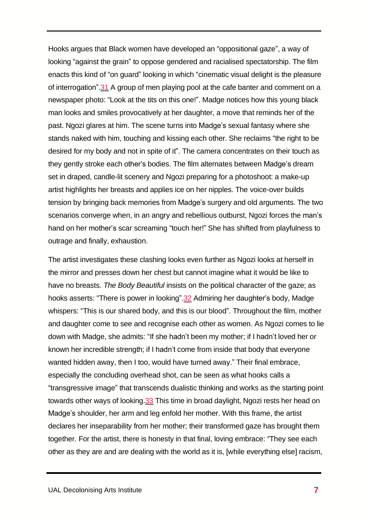Hooks argues that Black women have developed an "oppositional gaze", a way of looking "against the grain" to oppose gendered and racialised spectatorship. The film enacts this kind of "on guard" looking in which "cinematic visual delight is the pleasure of interrogation"[.31](#page-18-7) A group of men playing pool at the cafe banter and comment on a newspaper photo: "Look at the tits on this one!". Madge notices how this young black man looks and smiles provocatively at her daughter, a move that reminds her of the past. Ngozi glares at him. The scene turns into Madge's sexual fantasy where she stands naked with him, touching and kissing each other. She reclaims "the right to be desired for my body and not in spite of it". The camera concentrates on their touch as they gently stroke each other's bodies. The film alternates between Madge's dream set in draped, candle-lit scenery and Ngozi preparing for a photoshoot: a make-up artist highlights her breasts and applies ice on her nipples. The voice-over builds tension by bringing back memories from Madge's surgery and old arguments. The two scenarios converge when, in an angry and rebellious outburst, Ngozi forces the man's hand on her mother's scar screaming "touch her!" She has shifted from playfulness to outrage and finally, exhaustion.

The artist investigates these clashing looks even further as Ngozi looks at herself in the mirror and presses down her chest but cannot imagine what it would be like to have no breasts. *The Body Beautiful* insists on the political character of the gaze; as hooks asserts: "There is power in looking". 32 Admiring her daughter's body, Madge whispers: "This is our shared body, and this is our blood". Throughout the film, mother and daughter come to see and recognise each other as women. As Ngozi comes to lie down with Madge, she admits: "If she hadn't been my mother; if I hadn't loved her or known her incredible strength; if I hadn't come from inside that body that everyone wanted hidden away, then I too, would have turned away." Their final embrace, especially the concluding overhead shot, can be seen as what hooks calls a "transgressive image" that transcends dualistic thinking and works as the starting point towards other ways of looking[.33](#page-18-9) This time in broad daylight, Ngozi rests her head on Madge's shoulder, her arm and leg enfold her mother. With this frame, the artist declares her inseparability from her mother; their transformed gaze has brought them together. For the artist, there is honesty in that final, loving embrace: "They see each other as they are and are dealing with the world as it is, [while everything else] racism,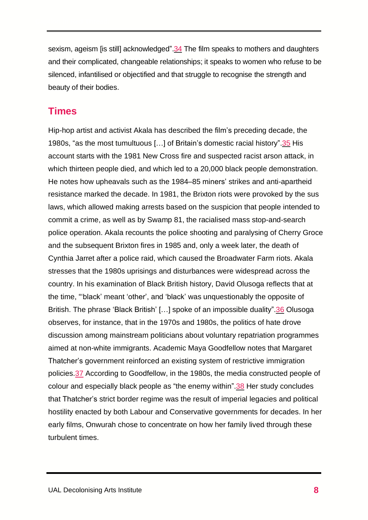sexism, ageism [is still] acknowledged"[.34](#page-18-10) The film speaks to mothers and daughters and their complicated, changeable relationships; it speaks to women who refuse to be silenced, infantilised or objectified and that struggle to recognise the strength and beauty of their bodies.

# **Times**

Hip-hop artist and activist Akala has described the film's preceding decade, the 1980s, "as the most tumultuous […] of Britain's domestic racial history"[.35](#page-18-11) His account starts with the 1981 New Cross fire and suspected racist arson attack, in which thirteen people died, and which led to a 20,000 black people demonstration. He notes how upheavals such as the 1984–85 miners' strikes and anti-apartheid resistance marked the decade. In 1981, the Brixton riots were provoked by the sus laws, which allowed making arrests based on the suspicion that people intended to commit a crime, as well as by Swamp 81, the racialised mass stop-and-search police operation. Akala recounts the police shooting and paralysing of Cherry Groce and the subsequent Brixton fires in 1985 and, only a week later, the death of Cynthia Jarret after a police raid, which caused the Broadwater Farm riots. Akala stresses that the 1980s uprisings and disturbances were widespread across the country. In his examination of Black British history, David Olusoga reflects that at the time, "'black' meant 'other', and 'black' was unquestionably the opposite of British. The phrase 'Black British' [...] spoke of an impossible duality".<sup>36</sup> Olusoga observes, for instance, that in the 1970s and 1980s, the politics of hate drove discussion among mainstream politicians about voluntary repatriation programmes aimed at non-white immigrants. Academic Maya Goodfellow notes that Margaret Thatcher's government reinforced an existing system of restrictive immigration policies[.37](#page-18-13) According to Goodfellow, in the 1980s, the media constructed people of colour and especially black people as "the enemy within"[.38](#page-18-14) Her study concludes that Thatcher's strict border regime was the result of imperial legacies and political hostility enacted by both Labour and Conservative governments for decades. In her early films, Onwurah chose to concentrate on how her family lived through these turbulent times.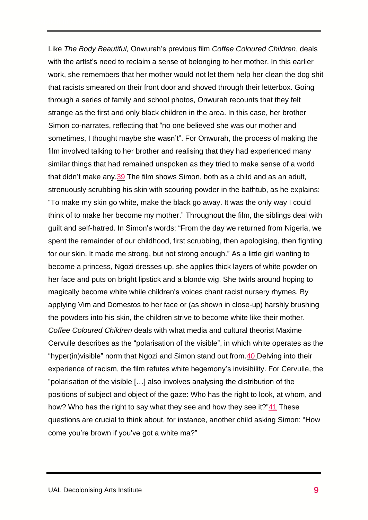Like *The Body Beautiful,* Onwurah's previous film *Coffee Coloured Children*, deals with the artist's need to reclaim a sense of belonging to her mother. In this earlier work, she remembers that her mother would not let them help her clean the dog shit that racists smeared on their front door and shoved through their letterbox. Going through a series of family and school photos, Onwurah recounts that they felt strange as the first and only black children in the area. In this case, her brother Simon co-narrates, reflecting that "no one believed she was our mother and sometimes, I thought maybe she wasn't". For Onwurah, the process of making the film involved talking to her brother and realising that they had experienced many similar things that had remained unspoken as they tried to make sense of a world that didn't make any[.39](#page-18-14) The film shows Simon, both as a child and as an adult, strenuously scrubbing his skin with scouring powder in the bathtub, as he explains: "To make my skin go white, make the black go away. It was the only way I could think of to make her become my mother." Throughout the film, the siblings deal with guilt and self-hatred. In Simon's words: "From the day we returned from Nigeria, we spent the remainder of our childhood, first scrubbing, then apologising, then fighting for our skin. It made me strong, but not strong enough." As a little girl wanting to become a princess, Ngozi dresses up, she applies thick layers of white powder on her face and puts on bright lipstick and a blonde wig. She twirls around hoping to magically become white while children's voices chant racist nursery rhymes. By applying Vim and Domestos to her face or (as shown in close-up) harshly brushing the powders into his skin, the children strive to become white like their mother. *Coffee Coloured Children* deals with what media and cultural theorist Maxime Cervulle describes as the "polarisation of the visible", in which white operates as the "hyper(in)visible" norm that Ngozi and Simon stand out from. 40 Delving into their experience of racism, the film refutes white hegemony's invisibility. For Cervulle, the "polarisation of the visible […] also involves analysing the distribution of the positions of subject and object of the gaze: Who has the right to look, at whom, and how? Who has the right to say what they see and how they see it?["41](#page-19-1) These questions are crucial to think about, for instance, another child asking Simon: "How come you're brown if you've got a white ma?"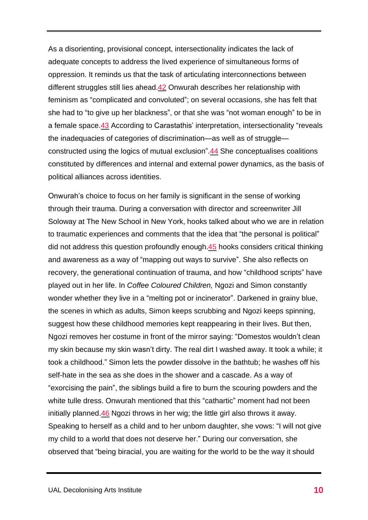As a disorienting, provisional concept, intersectionality indicates the lack of adequate concepts to address the lived experience of simultaneous forms of oppression. It reminds us that the task of articulating interconnections between different struggles still lies ahead[.42](#page-19-2) Onwurah describes her relationship with feminism as "complicated and convoluted"; on several occasions, she has felt that she had to "to give up her blackness", or that she was "not woman enough" to be in a female space[.43](#page-19-3) According to Carastathis' interpretation, intersectionality "reveals the inadequacies of categories of discrimination—as well as of struggle constructed using the logics of mutual exclusion"[.44](#page-19-4) She conceptualises coalitions constituted by differences and internal and external power dynamics, as the basis of political alliances across identities.

Onwurah's choice to focus on her family is significant in the sense of working through their trauma. During a conversation with director and screenwriter Jill Soloway at The New School in New York, hooks talked about who we are in relation to traumatic experiences and comments that the idea that "the personal is political" did not address this question profoundly enough[.45](#page-19-5) hooks considers critical thinking and awareness as a way of "mapping out ways to survive". She also reflects on recovery, the generational continuation of trauma, and how "childhood scripts" have played out in her life. In *Coffee Coloured Children,* Ngozi and Simon constantly wonder whether they live in a "melting pot or incinerator". Darkened in grainy blue, the scenes in which as adults, Simon keeps scrubbing and Ngozi keeps spinning, suggest how these childhood memories kept reappearing in their lives. But then, Ngozi removes her costume in front of the mirror saying: "Domestos wouldn't clean my skin because my skin wasn't dirty. The real dirt I washed away. It took a while; it took a childhood." Simon lets the powder dissolve in the bathtub; he washes off his self-hate in the sea as she does in the shower and a cascade. As a way of "exorcising the pain", the siblings build a fire to burn the scouring powders and the white tulle dress. Onwurah mentioned that this "cathartic" moment had not been initially planned[.46](#page-19-6) Ngozi throws in her wig; the little girl also throws it away. Speaking to herself as a child and to her unborn daughter, she vows: "I will not give my child to a world that does not deserve her." During our conversation, she observed that "being biracial, you are waiting for the world to be the way it should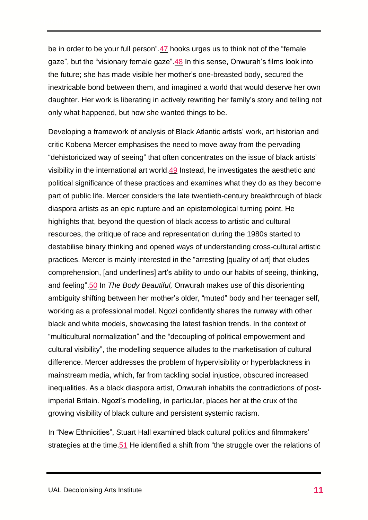be in order to be your full person"[.47](#page-19-7) hooks urges us to think not of the "female gaze", but the "visionary female gaze"[.48](#page-19-8) In this sense, Onwurah's films look into the future; she has made visible her mother's one-breasted body, secured the inextricable bond between them, and imagined a world that would deserve her own daughter. Her work is liberating in actively rewriting her family's story and telling not only what happened, but how she wanted things to be.

Developing a framework of analysis of Black Atlantic artists' work, art historian and critic Kobena Mercer emphasises the need to move away from the pervading "dehistoricized way of seeing" that often concentrates on the issue of black artists' visibility in the international art world[.49](#page-19-8) Instead, he investigates the aesthetic and political significance of these practices and examines what they do as they become part of public life. Mercer considers the late twentieth-century breakthrough of black diaspora artists as an epic rupture and an epistemological turning point. He highlights that, beyond the question of black access to artistic and cultural resources, the critique of race and representation during the 1980s started to destabilise binary thinking and opened ways of understanding cross-cultural artistic practices. Mercer is mainly interested in the "arresting [quality of art] that eludes comprehension, [and underlines] art's ability to undo our habits of seeing, thinking, and feeling"[.50](#page-19-9) In *The Body Beautiful,* Onwurah makes use of this disorienting ambiguity shifting between her mother's older, "muted" body and her teenager self, working as a professional model. Ngozi confidently shares the runway with other black and white models, showcasing the latest fashion trends. In the context of "multicultural normalization" and the "decoupling of political empowerment and cultural visibility", the modelling sequence alludes to the marketisation of cultural difference. Mercer addresses the problem of hypervisibility or hyperblackness in mainstream media, which, far from tackling social injustice, obscured increased inequalities. As a black diaspora artist, Onwurah inhabits the contradictions of postimperial Britain. Ngozi's modelling, in particular, places her at the crux of the growing visibility of black culture and persistent systemic racism.

In "New Ethnicities", Stuart Hall examined black cultural politics and filmmakers' strategies at the time[.51](#page-19-10) He identified a shift from "the struggle over the relations of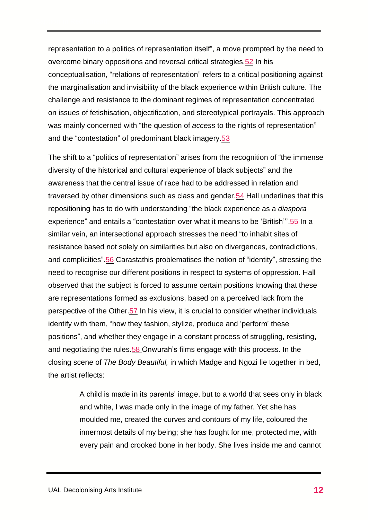representation to a politics of representation itself", a move prompted by the need to overcome binary oppositions and reversal critical strategies[.52](#page-19-11) In his conceptualisation, "relations of representation" refers to a critical positioning against the marginalisation and invisibility of the black experience within British culture. The challenge and resistance to the dominant regimes of representation concentrated on issues of fetishisation, objectification, and stereotypical portrayals. This approach was mainly concerned with "the question of *access* to the rights of representation" and the "contestation" of predominant black imagery[.53](#page-19-12)

The shift to a "politics of representation" arises from the recognition of "the immense diversity of the historical and cultural experience of black subjects" and the awareness that the central issue of race had to be addressed in relation and traversed by other dimensions such as class and gender[.54](#page-19-13) Hall underlines that this repositioning has to do with understanding "the black experience as a *diaspora* experience" and entails a "contestation over what it means to be 'British'''[.55](#page-19-14) In a similar vein, an intersectional approach stresses the need "to inhabit sites of resistance based not solely on similarities but also on divergences, contradictions, and complicities"[.56](#page-19-15) Carastathis problematises the notion of "identity", stressing the need to recognise our different positions in respect to systems of oppression. Hall observed that the subject is forced to assume certain positions knowing that these are representations formed as exclusions, based on a perceived lack from the perspective of the Other[.57](#page-19-16) In his view, it is crucial to consider whether individuals identify with them, "how they fashion, stylize, produce and 'perform' these positions", and whether they engage in a constant process of struggling, resisting, and negotiating the rules[.58](#page-19-17) Onwurah's films engage with this process. In the closing scene of *The Body Beautiful,* in which Madge and Ngozi lie together in bed, the artist reflects:

> A child is made in its parents' image, but to a world that sees only in black and white, I was made only in the image of my father. Yet she has moulded me, created the curves and contours of my life, coloured the innermost details of my being; she has fought for me, protected me, with every pain and crooked bone in her body. She lives inside me and cannot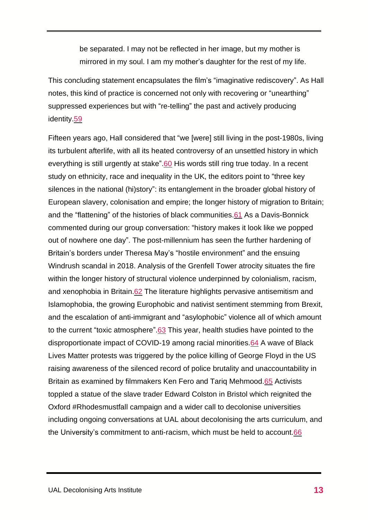be separated. I may not be reflected in her image, but my mother is mirrored in my soul. I am my mother's daughter for the rest of my life.

This concluding statement encapsulates the film's "imaginative rediscovery". As Hall notes, this kind of practice is concerned not only with recovering or "unearthing" suppressed experiences but with "re-telling" the past and actively producing identity[.59](#page-19-17)

Fifteen years ago, Hall considered that "we [were] still living in the post-1980s, living its turbulent afterlife, with all its heated controversy of an unsettled history in which everything is still urgently at stake"[.60](#page-20-0) His words still ring true today. In a recent study on ethnicity, race and inequality in the UK, the editors point to "three key silences in the national (hi)story": its entanglement in the broader global history of European slavery, colonisation and empire; the longer history of migration to Britain; and the "flattening" of the histories of black communities[.61](#page-20-1) As a Davis-Bonnick commented during our group conversation: "history makes it look like we popped out of nowhere one day". The post-millennium has seen the further hardening of Britain's borders under Theresa May's "hostile environment" and the ensuing Windrush scandal in 2018. Analysis of the Grenfell Tower atrocity situates the fire within the longer history of structural violence underpinned by colonialism, racism, and xenophobia in Britain[.62](#page-20-2) The literature highlights pervasive antisemitism and Islamophobia, the growing Europhobic and nativist sentiment stemming from Brexit, and the escalation of anti-immigrant and "asylophobic" violence all of which amount to the current "toxic atmosphere"[.63](#page-20-3) This year, health studies have pointed to the disproportionate impact of COVID-19 among racial minorities[.64](#page-20-4) A wave of Black Lives Matter protests was triggered by the police killing of George Floyd in the US raising awareness of the silenced record of police brutality and unaccountability in Britain as examined by filmmakers Ken Fero and Tariq Mehmood[.65](#page-20-5) Activists toppled a statue of the slave trader Edward Colston in Bristol which reignited the Oxford #Rhodesmustfall campaign and a wider call to decolonise universities including ongoing conversations at UAL about decolonising the arts curriculum, and the University's commitment to anti-racism, which must be held to account[.66](#page-20-6)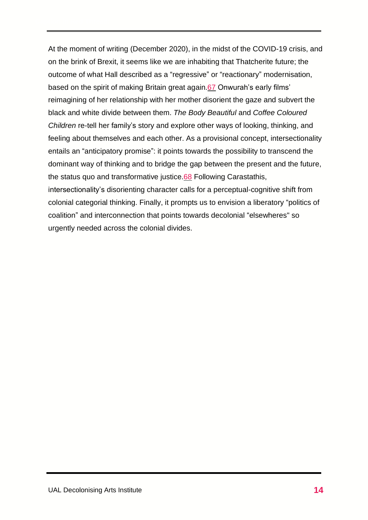At the moment of writing (December 2020), in the midst of the COVID-19 crisis, and on the brink of Brexit, it seems like we are inhabiting that Thatcherite future; the outcome of what Hall described as a "regressive" or "reactionary" modernisation, based on the spirit of making Britain great again[.67](#page-20-7) Onwurah's early films' reimagining of her relationship with her mother disorient the gaze and subvert the black and white divide between them. *The Body Beautiful* and *Coffee Coloured Children* re-tell her family's story and explore other ways of looking, thinking, and feeling about themselves and each other. As a provisional concept, intersectionality entails an "anticipatory promise": it points towards the possibility to transcend the dominant way of thinking and to bridge the gap between the present and the future, the status quo and transformative justice[.68](#page-20-8) Following Carastathis, intersectionality's disorienting character calls for a perceptual-cognitive shift from colonial categorial thinking. Finally, it prompts us to envision a liberatory "politics of coalition" and interconnection that points towards decolonial "elsewheres" so urgently needed across the colonial divides.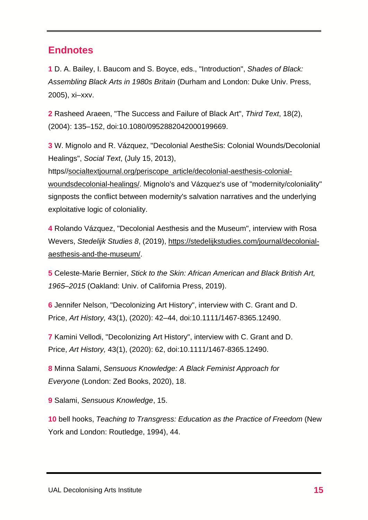#### **Endnotes**

<span id="page-16-0"></span>**1** D. A. Bailey, I. Baucom and S. Boyce, eds., "Introduction", *Shades of Black: Assembling Black Arts in 1980s Britain* (Durham and London: Duke Univ. Press, 2005), xi–xxv.

<span id="page-16-1"></span>**2** Rasheed Araeen, "The Success and Failure of Black Art", *Third Text*, 18(2), (2004): 135–152, doi:10.1080/0952882042000199669.

<span id="page-16-2"></span>**3** W. Mignolo and R. Vázquez, "Decolonial AestheSis: Colonial Wounds/Decolonial Healings", *Social Text*, (July 15, 2013),

https/[/socialtextjournal.org/periscope\\_article/decolonial-aesthesis-colonial](http://socialtextjournal.org/periscope_article/decolonial-aesthesis-colonial-woundsdecolonial-healings/)[woundsdecolonial-healings/.](http://socialtextjournal.org/periscope_article/decolonial-aesthesis-colonial-woundsdecolonial-healings/) Mignolo's and Vázquez's use of "modernity/coloniality" signposts the conflict between modernity's salvation narratives and the underlying exploitative logic of coloniality.

<span id="page-16-3"></span>**4** Rolando Vázquez, "Decolonial Aesthesis and the Museum", interview with Rosa Wevers, *Stedelijk Studies 8*, (2019), [https://stedelijkstudies.com/journal/decolonial](https://stedelijkstudies.com/journal/decolonial-aesthesis-and-the-museum/)[aesthesis-and-the-museum/.](https://stedelijkstudies.com/journal/decolonial-aesthesis-and-the-museum/)

<span id="page-16-4"></span>**5** Celeste-Marie Bernier, *Stick to the Skin: African American and Black British Art, 1965–2015* (Oakland: Univ. of California Press, 2019).

<span id="page-16-5"></span>**6** Jennifer Nelson, "Decolonizing Art History", interview with C. Grant and D. Price, *Art History,* 43(1), (2020): 42–44, doi:10.1111/1467-8365.12490.

<span id="page-16-6"></span>**7** Kamini Vellodi, "Decolonizing Art History", interview with C. Grant and D. Price, *Art History,* 43(1), (2020): 62, doi:10.1111/1467-8365.12490.

<span id="page-16-7"></span>**8** Minna Salami, *Sensuous Knowledge: A Black Feminist Approach for Everyone* (London: Zed Books, 2020), 18.

<span id="page-16-8"></span>**9** Salami, *Sensuous Knowledge*, 15.

<span id="page-16-9"></span>**10** bell hooks, *Teaching to Transgress: Education as the Practice of Freedom* (New York and London: Routledge, 1994), 44.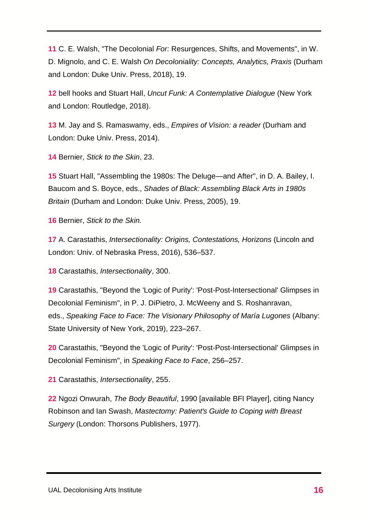<span id="page-17-0"></span>**11** C. E. Walsh, "The Decolonial *For:* Resurgences, Shifts, and Movements", in W. D. Mignolo, and C. E. Walsh *On Decoloniality: Concepts, Analytics, Praxis* (Durham and London: Duke Univ. Press, 2018), 19.

<span id="page-17-1"></span>**12** bell hooks and Stuart Hall, *Uncut Funk: A Contemplative Dialogue* (New York and London: Routledge, 2018).

<span id="page-17-2"></span>**13** M. Jay and S. Ramaswamy, eds., *Empires of Vision: a reader* (Durham and London: Duke Univ. Press, 2014).

<span id="page-17-3"></span>**14** Bernier, *Stick to the Skin*, 23.

<span id="page-17-4"></span>**15** Stuart Hall, "Assembling the 1980s: The Deluge—and After", in D. A. Bailey, I. Baucom and S. Boyce, eds., *Shades of Black: Assembling Black Arts in 1980s Britain* (Durham and London: Duke Univ. Press, 2005), 19.

<span id="page-17-5"></span>**16** Bernier, *Stick to the Skin.*

<span id="page-17-6"></span>**17** A. Carastathis, *Intersectionality: Origins, Contestations, Horizons* (Lincoln and London: Univ. of Nebraska Press, 2016), 536–537.

<span id="page-17-7"></span>**18** Carastathis, *Intersectionality*, 300.

<span id="page-17-8"></span>**19** Carastathis, "Beyond the 'Logic of Purity': 'Post-Post-Intersectional' Glimpses in Decolonial Feminism", in P. J. DiPietro, J. McWeeny and S. Roshanravan, eds., *Speaking Face to Face: The Visionary Philosophy of María Lugones* (Albany: State University of New York, 2019), 223–267.

<span id="page-17-9"></span>**20** Carastathis, "Beyond the 'Logic of Purity': 'Post-Post-Intersectional' Glimpses in Decolonial Feminism", in *Speaking Face to Face*, 256–257.

<span id="page-17-10"></span>**21** Carastathis, *Intersectionality*, 255.

<span id="page-17-11"></span>**22** Ngozi Onwurah, *The Body Beautiful*, 1990 [available BFI Player], citing Nancy Robinson and Ian Swash, *Mastectomy: Patient's Guide to Coping with Breast Surgery* (London: Thorsons Publishers, 1977).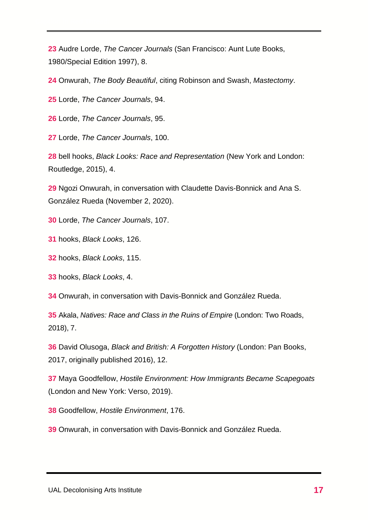<span id="page-18-0"></span> Audre Lorde, *The Cancer Journals* (San Francisco: Aunt Lute Books, 1980/Special Edition 1997), 8.

<span id="page-18-1"></span>Onwurah, *The Body Beautiful*, citing Robinson and Swash, *Mastectomy*.

<span id="page-18-2"></span>Lorde, *The Cancer Journals*, 94.

<span id="page-18-3"></span>Lorde, *The Cancer Journals*, 95.

<span id="page-18-4"></span>Lorde, *The Cancer Journals*, 100.

<span id="page-18-5"></span> bell hooks, *Black Looks: Race and Representation* (New York and London: Routledge, 2015), 4.

 Ngozi Onwurah, in conversation with Claudette Davis-Bonnick and Ana S. González Rueda (November 2, 2020).

<span id="page-18-6"></span>Lorde, *The Cancer Journals*, 107.

<span id="page-18-7"></span>hooks, *Black Looks*, 126.

<span id="page-18-8"></span>hooks, *Black Looks*, 115.

<span id="page-18-9"></span>hooks, *Black Looks*, 4.

<span id="page-18-10"></span>Onwurah, in conversation with Davis-Bonnick and González Rueda.

<span id="page-18-11"></span> Akala, *Natives: Race and Class in the Ruins of Empire* (London: Two Roads, 2018), 7.

<span id="page-18-12"></span> David Olusoga, *Black and British: A Forgotten History* (London: Pan Books, 2017, originally published 2016), 12.

<span id="page-18-13"></span> Maya Goodfellow, *Hostile Environment: How Immigrants Became Scapegoats* (London and New York: Verso, 2019).

<span id="page-18-14"></span>Goodfellow, *Hostile Environment*, 176.

Onwurah, in conversation with Davis-Bonnick and González Rueda.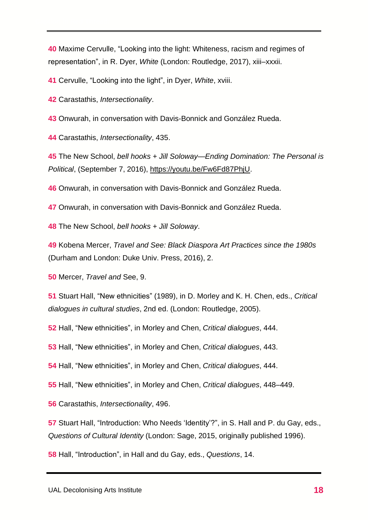<span id="page-19-0"></span> Maxime Cervulle, "Looking into the light: Whiteness, racism and regimes of representation", in R. Dyer, *White* (London: Routledge, 2017), xiii–xxxii.

<span id="page-19-1"></span>Cervulle, "Looking into the light", in Dyer, *White*, xviii.

<span id="page-19-2"></span>Carastathis, *Intersectionality*.

<span id="page-19-3"></span>Onwurah, in conversation with Davis-Bonnick and González Rueda.

<span id="page-19-4"></span>Carastathis, *Intersectionality*, 435.

<span id="page-19-5"></span> The New School, *bell hooks + Jill Soloway—Ending Domination: The Personal is Political*, (September 7, 2016), [https://youtu.be/Fw6Fd87PhjU.](https://youtu.be/Fw6Fd87PhjU)

<span id="page-19-6"></span>Onwurah, in conversation with Davis-Bonnick and González Rueda.

<span id="page-19-7"></span>Onwurah, in conversation with Davis-Bonnick and González Rueda.

<span id="page-19-8"></span>The New School, *bell hooks + Jill Soloway*.

 Kobena Mercer, *Travel and See: Black Diaspora Art Practices since the 1980s* (Durham and London: Duke Univ. Press, 2016), 2.

<span id="page-19-9"></span>Mercer, *Travel and* See, 9.

<span id="page-19-10"></span> Stuart Hall, "New ethnicities" (1989), in D. Morley and K. H. Chen, eds., *Critical dialogues in cultural studies*, 2nd ed. (London: Routledge, 2005).

<span id="page-19-11"></span>Hall, "New ethnicities", in Morley and Chen, *Critical dialogues*, 444.

<span id="page-19-12"></span>Hall, "New ethnicities", in Morley and Chen, *Critical dialogues*, 443.

<span id="page-19-13"></span>Hall, "New ethnicities", in Morley and Chen, *Critical dialogues*, 444.

<span id="page-19-14"></span>Hall, "New ethnicities", in Morley and Chen, *Critical dialogues*, 448–449.

<span id="page-19-15"></span>Carastathis, *Intersectionality*, 496.

<span id="page-19-16"></span> Stuart Hall, "Introduction: Who Needs 'Identity'?", in S. Hall and P. du Gay, eds., *Questions of Cultural Identity* (London: Sage, 2015, originally published 1996).

<span id="page-19-17"></span>Hall, "Introduction", in Hall and du Gay, eds., *Questions*, 14.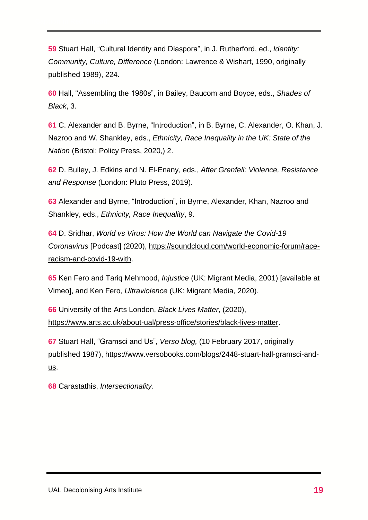**59** Stuart Hall, "Cultural Identity and Diaspora", in J. Rutherford, ed., *Identity: Community, Culture, Difference* (London: Lawrence & Wishart, 1990, originally published 1989), 224.

<span id="page-20-0"></span>**60** Hall, "Assembling the 1980s", in Bailey, Baucom and Boyce, eds., *Shades of Black*, 3.

<span id="page-20-1"></span>**61** C. Alexander and B. Byrne, "Introduction", in B. Byrne, C. Alexander, O. Khan, J. Nazroo and W. Shankley, eds., *Ethnicity, Race Inequality in the UK: State of the Nation* (Bristol: Policy Press, 2020,) 2.

<span id="page-20-2"></span>**62** D. Bulley, J. Edkins and N. El-Enany, eds., *After Grenfell: Violence, Resistance and Response* (London: Pluto Press, 2019).

<span id="page-20-3"></span>**63** Alexander and Byrne, "Introduction", in Byrne, Alexander, Khan, Nazroo and Shankley, eds., *Ethnicity, Race Inequality*, 9.

<span id="page-20-4"></span>**64** D. Sridhar, *World vs Virus: How the World can Navigate the Covid-19 Coronavirus* [Podcast] (2020), [https://soundcloud.com/world-economic-forum/race](https://soundcloud.com/world-economic-forum/race-racism-and-covid-19-with)[racism-and-covid-19-with.](https://soundcloud.com/world-economic-forum/race-racism-and-covid-19-with)

<span id="page-20-5"></span>**65** Ken Fero and Tariq Mehmood, *Injustice* (UK: Migrant Media, 2001) [available at Vimeo], and Ken Fero, *Ultraviolence* (UK: Migrant Media, 2020).

<span id="page-20-6"></span>**66** University of the Arts London, *Black Lives Matter*, (2020), [https://www.arts.ac.uk/about-ual/press-office/stories/black-lives-matter.](https://www.arts.ac.uk/about-ual/press-office/stories/black-lives-matter)

<span id="page-20-7"></span>**67** Stuart Hall, "Gramsci and Us", *Verso blog,* (10 February 2017, originally published 1987), [https://www.versobooks.com/blogs/2448-stuart-hall-gramsci-and](https://www.versobooks.com/blogs/2448-stuart-hall-gramsci-and-us)[us.](https://www.versobooks.com/blogs/2448-stuart-hall-gramsci-and-us)

<span id="page-20-8"></span>**68** Carastathis, *Intersectionality*.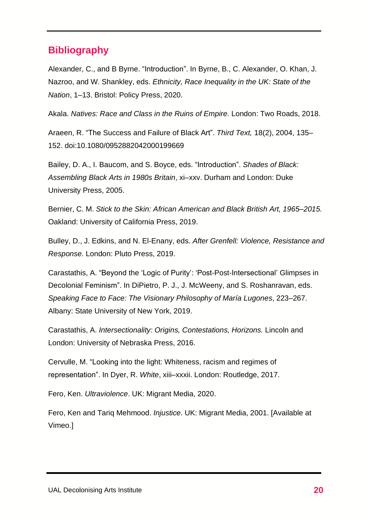## **Bibliography**

Alexander, C., and B Byrne. "Introduction". In Byrne, B., C. Alexander, O. Khan, J. Nazroo, and W. Shankley, eds. *Ethnicity, Race Inequality in the UK: State of the Nation*, 1–13. Bristol: Policy Press, 2020.

Akala. *Natives: Race and Class in the Ruins of Empire.* London: Two Roads, 2018.

Araeen, R. "The Success and Failure of Black Art". *Third Text,* 18(2), 2004, 135– 152. doi:10.1080/0952882042000199669

Bailey, D. A., I. Baucom, and S. Boyce, eds. "Introduction". *Shades of Black: Assembling Black Arts in 1980s Britain*, xi–xxv. Durham and London: Duke University Press, 2005.

Bernier, C. M. *Stick to the Skin: African American and Black British Art, 1965–2015.* Oakland: University of California Press, 2019.

Bulley, D., J. Edkins, and N. El-Enany, eds. *After Grenfell: Violence, Resistance and Response.* London: Pluto Press, 2019.

Carastathis, A. "Beyond the 'Logic of Purity': 'Post-Post-Intersectional' Glimpses in Decolonial Feminism". In DiPietro, P. J., J. McWeeny, and S. Roshanravan, eds. *Speaking Face to Face: The Visionary Philosophy of María Lugones*, 223–267. Albany: State University of New York, 2019.

Carastathis, A. *Intersectionality: Origins, Contestations, Horizons.* Lincoln and London: University of Nebraska Press, 2016.

Cervulle, M. "Looking into the light: Whiteness, racism and regimes of representation". In Dyer, R. *White*, xiii–xxxii. London: Routledge, 2017.

Fero, Ken. *Ultraviolence*. UK: Migrant Media, 2020.

Fero, Ken and Tariq Mehmood. *Injustice*. UK: Migrant Media, 2001. [Available at Vimeo.]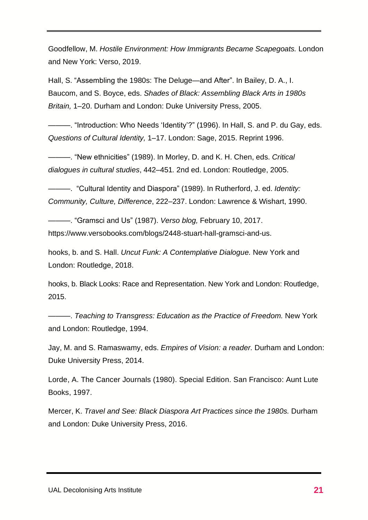Goodfellow, M. *Hostile Environment: How Immigrants Became Scapegoats.* London and New York: Verso, 2019.

Hall, S. "Assembling the 1980s: The Deluge—and After". In Bailey, D. A., I. Baucom, and S. Boyce, eds. *Shades of Black: Assembling Black Arts in 1980s Britain,* 1–20. Durham and London: Duke University Press, 2005.

———. "Introduction: Who Needs 'Identity'?" (1996). In Hall, S. and P. du Gay, eds. *Questions of Cultural Identity,* 1–17. London: Sage, 2015. Reprint 1996.

———. "New ethnicities" (1989). In Morley, D. and K. H. Chen, eds. *Critical dialogues in cultural studies*, 442–451*.* 2nd ed. London: Routledge, 2005.

———. "Cultural Identity and Diaspora" (1989). In Rutherford, J. ed. *Identity: Community, Culture, Difference*, 222–237. London: Lawrence & Wishart, 1990.

———. "Gramsci and Us" (1987). *Verso blog,* February 10, 2017. https://www.versobooks.com/blogs/2448-stuart-hall-gramsci-and-us.

hooks, b. and S. Hall. *Uncut Funk: A Contemplative Dialogue.* New York and London: Routledge, 2018.

hooks, b. Black Looks: Race and Representation. New York and London: Routledge, 2015.

———. *Teaching to Transgress: Education as the Practice of Freedom.* New York and London: Routledge, 1994.

Jay, M. and S. Ramaswamy, eds. *Empires of Vision: a reader.* Durham and London: Duke University Press, 2014.

Lorde, A. The Cancer Journals (1980). Special Edition. San Francisco: Aunt Lute Books, 1997.

Mercer, K. *Travel and See: Black Diaspora Art Practices since the 1980s.* Durham and London: Duke University Press, 2016.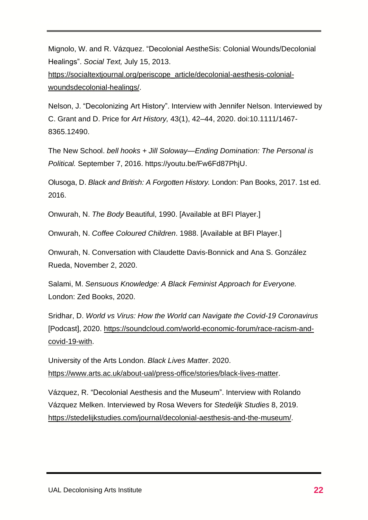Mignolo, W. and R. Vázquez. "Decolonial AestheSis: Colonial Wounds/Decolonial Healings". *Social Text,* July 15, 2013.

[https://socialtextjournal.org/periscope\\_article/decolonial-aesthesis-colonial](https://socialtextjournal.org/periscope_article/decolonial-aesthesis-colonial-woundsdecolonial-healings/)[woundsdecolonial-healings/.](https://socialtextjournal.org/periscope_article/decolonial-aesthesis-colonial-woundsdecolonial-healings/)

Nelson, J. "Decolonizing Art History". Interview with Jennifer Nelson. Interviewed by C. Grant and D. Price for *Art History,* 43(1), 42–44, 2020. doi:10.1111/1467- 8365.12490.

The New School. *bell hooks + Jill Soloway—Ending Domination: The Personal is Political.* September 7, 2016. [https://youtu.be/Fw6Fd87PhjU.](https://youtu.be/Fw6Fd87PhjU)

Olusoga, D. *Black and British: A Forgotten History.* London: Pan Books, 2017. 1st ed. 2016.

Onwurah, N. *The Body* Beautiful, 1990. [Available at BFI Player.]

Onwurah, N. *Coffee Coloured Children*. 1988. [Available at BFI Player.]

Onwurah, N. Conversation with Claudette Davis-Bonnick and Ana S. González Rueda, November 2, 2020.

Salami, M. *Sensuous Knowledge: A Black Feminist Approach for Everyone.* London: Zed Books, 2020.

Sridhar, D. *World vs Virus: How the World can Navigate the Covid-19 Coronavirus* [Podcast], 2020. [https://soundcloud.com/world-economic-forum/race-racism-and](https://soundcloud.com/world-economic-forum/race-racism-and-covid-19-with)[covid-19-with.](https://soundcloud.com/world-economic-forum/race-racism-and-covid-19-with)

University of the Arts London. *Black Lives Matter*. 2020. [https://www.arts.ac.uk/about-ual/press-office/stories/black-lives-matter.](https://www.arts.ac.uk/about-ual/press-office/stories/black-lives-matter)

Vázquez, R. "Decolonial Aesthesis and the Museum". Interview with Rolando Vázquez Melken. Interviewed by Rosa Wevers for *Stedelijk Studies* 8, 2019. [https://stedelijkstudies.com/journal/decolonial-aesthesis-and-the-museum/.](https://stedelijkstudies.com/journal/decolonial-aesthesis-and-the-museum/)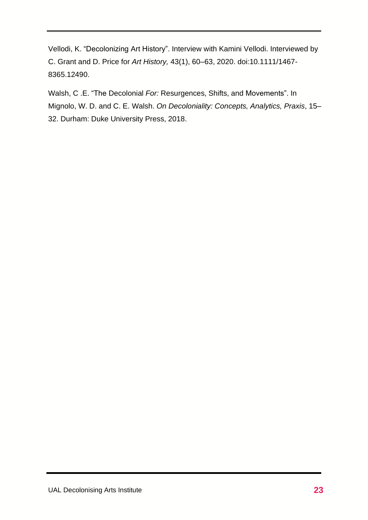Vellodi, K. "Decolonizing Art History". Interview with Kamini Vellodi. Interviewed by C. Grant and D. Price for *Art History,* 43(1), 60–63, 2020. doi:10.1111/1467- 8365.12490.

Walsh, C .E. "The Decolonial *For:* Resurgences, Shifts, and Movements". In Mignolo, W. D. and C. E. Walsh. *On Decoloniality: Concepts, Analytics, Praxis*, 15– 32. Durham: Duke University Press, 2018.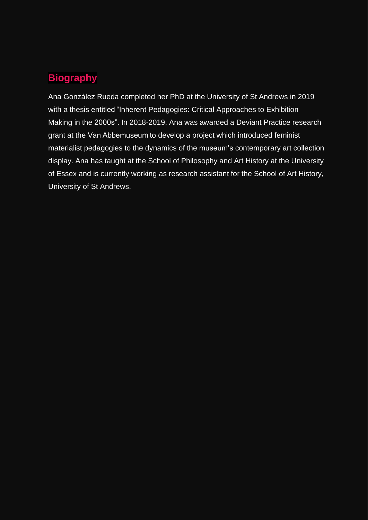# **Biography**

Ana González Rueda completed her PhD at the University of St Andrews in 2019 with a thesis entitled "Inherent Pedagogies: Critical Approaches to Exhibition Making in the 2000s". In 2018-2019, Ana was awarded a Deviant Practice research grant at the Van Abbemuseum to develop a project which introduced feminist materialist pedagogies to the dynamics of the museum's contemporary art collection display. Ana has taught at the School of Philosophy and Art History at the University of Essex and is currently working as research assistant for the School of Art History, University of St Andrews.